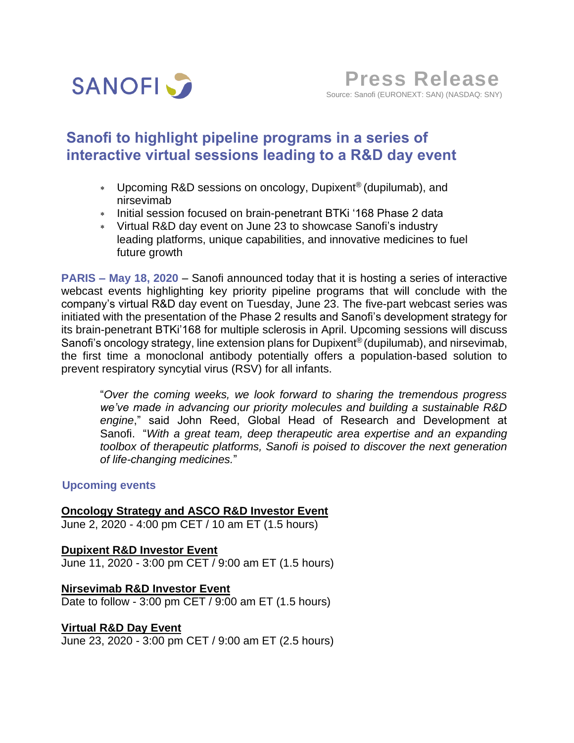

# **Sanofi to highlight pipeline programs in a series of interactive virtual sessions leading to a R&D day event**

- Upcoming R&D sessions on oncology, Dupixent® (dupilumab), and nirsevimab
- \* Initial session focused on brain-penetrant BTKi '168 Phase 2 data
- Virtual R&D day event on June 23 to showcase Sanofi's industry leading platforms, unique capabilities, and innovative medicines to fuel future growth

**PARIS – May 18, 2020** – Sanofi announced today that it is hosting a series of interactive webcast events highlighting key priority pipeline programs that will conclude with the company's virtual R&D day event on Tuesday, June 23. The five-part webcast series was initiated with the presentation of the Phase 2 results and Sanofi's development strategy for its brain-penetrant BTKi'168 for multiple sclerosis in April. Upcoming sessions will discuss Sanofi's oncology strategy, line extension plans for Dupixent® (dupilumab), and nirsevimab, the first time a monoclonal antibody potentially offers a population-based solution to prevent respiratory syncytial virus (RSV) for all infants.

"*Over the coming weeks, we look forward to sharing the tremendous progress we've made in advancing our priority molecules and building a sustainable R&D engine*," said John Reed, Global Head of Research and Development at Sanofi. "*With a great team, deep therapeutic area expertise and an expanding toolbox of therapeutic platforms, Sanofi is poised to discover the next generation of life-changing medicines.*"

## **Upcoming events**

## **Oncology Strategy and ASCO R&D Investor Event**

June 2, 2020 - 4:00 pm CET / 10 am ET (1.5 hours)

**Dupixent R&D Investor Event** June 11, 2020 - 3:00 pm CET / 9:00 am ET (1.5 hours)

**Nirsevimab R&D Investor Event** Date to follow - 3:00 pm CET / 9:00 am ET (1.5 hours)

## **Virtual R&D Day Event**

June 23, 2020 - 3:00 pm CET / 9:00 am ET (2.5 hours)